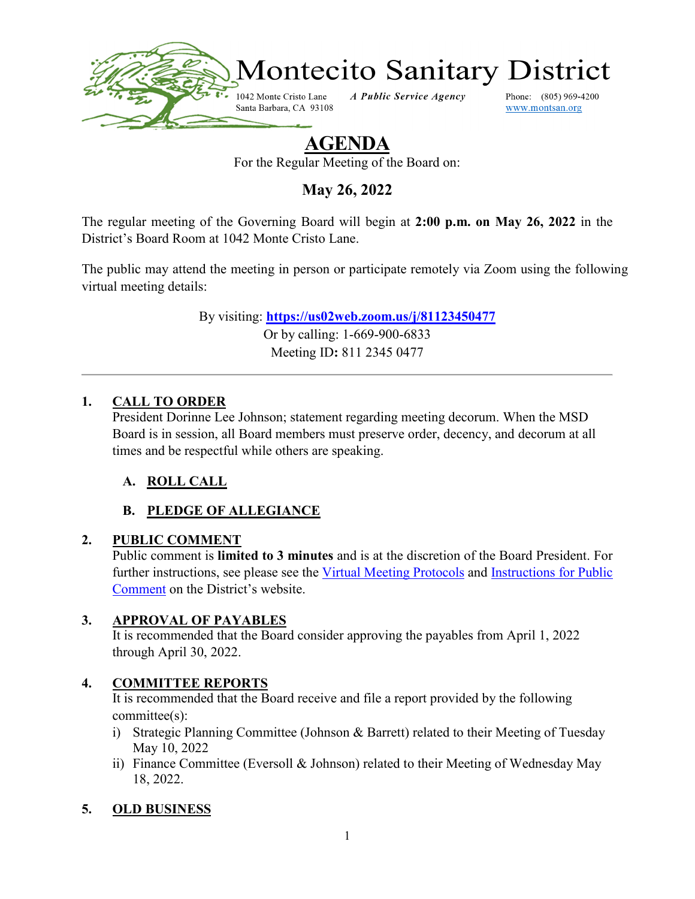

# **AGENDA**

For the Regular Meeting of the Board on:

**May 26, 2022**

The regular meeting of the Governing Board will begin at **2:00 p.m. on May 26, 2022** in the District's Board Room at 1042 Monte Cristo Lane.

The public may attend the meeting in person or participate remotely via Zoom using the following virtual meeting details:

> By visiting: **<https://us02web.zoom.us/j/81123450477>** Or by calling: 1-669-900-6833 Meeting ID**:** 811 2345 0477

#### **1. CALL TO ORDER**

President Dorinne Lee Johnson; statement regarding meeting decorum. When the MSD Board is in session, all Board members must preserve order, decency, and decorum at all times and be respectful while others are speaking.

## **A. ROLL CALL**

## **B. PLEDGE OF ALLEGIANCE**

#### **2. PUBLIC COMMENT**

Public comment is **limited to 3 minutes** and is at the discretion of the Board President. For further instructions, see please see the [Virtual Meeting Protocols](https://www.montsan.org/files/626c431f0/Virtual+Meeting+Protocols.pdf) and Instructions for Public [Comment](https://www.montsan.org/files/6d1aebcdb/Instructions+for+Public+Comment.pdf) on the District's website.

#### **3. APPROVAL OF PAYABLES**

It is recommended that the Board consider approving the payables from April 1, 2022 through April 30, 2022.

#### **4. COMMITTEE REPORTS**

It is recommended that the Board receive and file a report provided by the following committee(s):

- i) Strategic Planning Committee (Johnson & Barrett) related to their Meeting of Tuesday May 10, 2022
- ii) Finance Committee (Eversoll & Johnson) related to their Meeting of Wednesday May 18, 2022.

## **5. OLD BUSINESS**